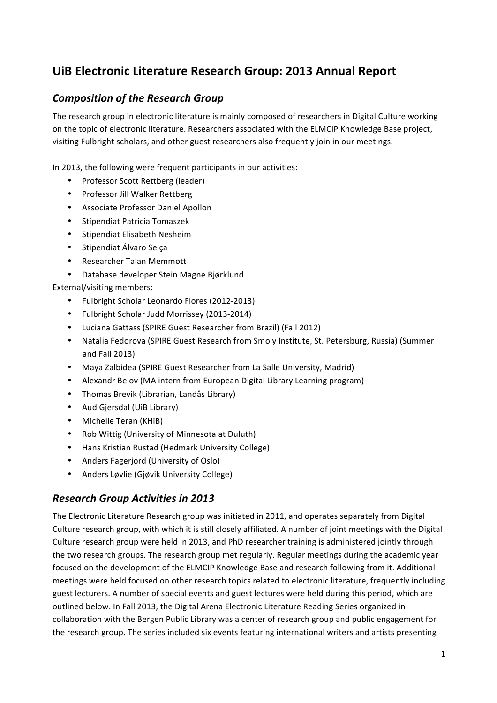# **UiB Electronic Literature Research Group: 2013 Annual Report**

## **Composition of the Research Group**

The research group in electronic literature is mainly composed of researchers in Digital Culture working on the topic of electronic literature. Researchers associated with the ELMCIP Knowledge Base project, visiting Fulbright scholars, and other guest researchers also frequently join in our meetings.

In 2013, the following were frequent participants in our activities:

- Professor Scott Rettberg (leader)
- Professor Jill Walker Rettberg
- Associate Professor Daniel Apollon
- Stipendiat Patricia Tomaszek
- Stipendiat Flisabeth Nesheim
- Stipendiat Álvaro Seica
- Researcher Talan Memmott
- Database developer Stein Magne Biørklund

External/visiting members:

- Fulbright Scholar Leonardo Flores (2012-2013)
- Fulbright Scholar Judd Morrissey (2013-2014)
- Luciana Gattass (SPIRE Guest Researcher from Brazil) (Fall 2012)
- Natalia Fedorova (SPIRE Guest Research from Smoly Institute, St. Petersburg, Russia) (Summer and Fall 2013)
- Maya Zalbidea (SPIRE Guest Researcher from La Salle University, Madrid)
- Alexandr Belov (MA intern from European Digital Library Learning program)
- Thomas Brevik (Librarian, Landås Library)
- Aud Gjersdal (UiB Library)
- Michelle Teran (KHiB)
- Rob Wittig (University of Minnesota at Duluth)
- Hans Kristian Rustad (Hedmark University College)
- Anders Fagerjord (University of Oslo)
- Anders Løvlie (Gjøvik University College)

## *Research Group Activities in 2013*

The Electronic Literature Research group was initiated in 2011, and operates separately from Digital Culture research group, with which it is still closely affiliated. A number of joint meetings with the Digital Culture research group were held in 2013, and PhD researcher training is administered jointly through the two research groups. The research group met regularly. Regular meetings during the academic year focused on the development of the ELMCIP Knowledge Base and research following from it. Additional meetings were held focused on other research topics related to electronic literature, frequently including guest lecturers. A number of special events and guest lectures were held during this period, which are outlined below. In Fall 2013, the Digital Arena Electronic Literature Reading Series organized in collaboration with the Bergen Public Library was a center of research group and public engagement for the research group. The series included six events featuring international writers and artists presenting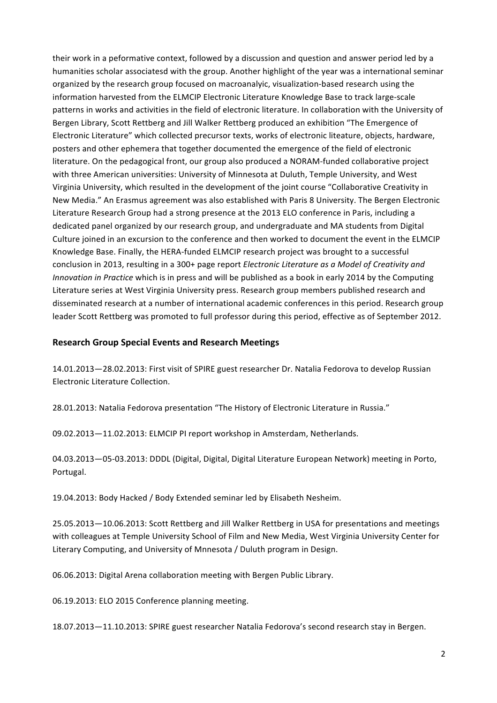their work in a peformative context, followed by a discussion and question and answer period led by a humanities scholar associatesd with the group. Another highlight of the year was a international seminar organized by the research group focused on macroanalyic, visualization-based research using the information harvested from the ELMCIP Electronic Literature Knowledge Base to track large-scale patterns in works and activities in the field of electronic literature. In collaboration with the University of Bergen Library, Scott Rettberg and Jill Walker Rettberg produced an exhibition "The Emergence of Electronic Literature" which collected precursor texts, works of electronic liteature, objects, hardware, posters and other ephemera that together documented the emergence of the field of electronic literature. On the pedagogical front, our group also produced a NORAM-funded collaborative project with three American universities: University of Minnesota at Duluth, Temple University, and West Virginia University, which resulted in the development of the joint course "Collaborative Creativity in New Media." An Erasmus agreement was also established with Paris 8 University. The Bergen Electronic Literature Research Group had a strong presence at the 2013 ELO conference in Paris, including a dedicated panel organized by our research group, and undergraduate and MA students from Digital Culture joined in an excursion to the conference and then worked to document the event in the ELMCIP Knowledge Base. Finally, the HERA-funded ELMCIP research project was brought to a successful conclusion in 2013, resulting in a 300+ page report *Electronic Literature as a Model of Creativity and Innovation in Practice* which is in press and will be published as a book in early 2014 by the Computing Literature series at West Virginia University press. Research group members published research and disseminated research at a number of international academic conferences in this period. Research group leader Scott Rettberg was promoted to full professor during this period, effective as of September 2012.

## **Research Group Special Events and Research Meetings**

14.01.2013-28.02.2013: First visit of SPIRE guest researcher Dr. Natalia Fedorova to develop Russian Electronic Literature Collection.

28.01.2013: Natalia Fedorova presentation "The History of Electronic Literature in Russia."

09.02.2013-11.02.2013: ELMCIP PI report workshop in Amsterdam, Netherlands.

04.03.2013-05-03.2013: DDDL (Digital, Digital, Digital Literature European Network) meeting in Porto, Portugal.

19.04.2013: Body Hacked / Body Extended seminar led by Elisabeth Nesheim.

25.05.2013-10.06.2013: Scott Rettberg and Jill Walker Rettberg in USA for presentations and meetings with colleagues at Temple University School of Film and New Media, West Virginia University Center for Literary Computing, and University of Mnnesota / Duluth program in Design.

06.06.2013: Digital Arena collaboration meeting with Bergen Public Library.

06.19.2013: ELO 2015 Conference planning meeting.

18.07.2013-11.10.2013: SPIRE guest researcher Natalia Fedorova's second research stay in Bergen.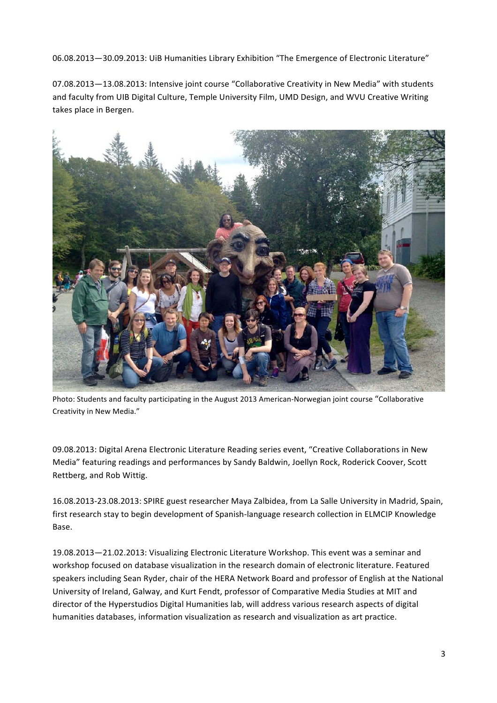06.08.2013-30.09.2013: UiB Humanities Library Exhibition "The Emergence of Electronic Literature"

07.08.2013-13.08.2013: Intensive joint course "Collaborative Creativity in New Media" with students and faculty from UIB Digital Culture, Temple University Film, UMD Design, and WVU Creative Writing takes place in Bergen.



Photo: Students and faculty participating in the August 2013 American-Norwegian joint course "Collaborative Creativity in New Media."

09.08.2013: Digital Arena Electronic Literature Reading series event, "Creative Collaborations in New Media" featuring readings and performances by Sandy Baldwin, Joellyn Rock, Roderick Coover, Scott Rettberg, and Rob Wittig.

16.08.2013-23.08.2013: SPIRE guest researcher Maya Zalbidea, from La Salle University in Madrid, Spain, first research stay to begin development of Spanish-language research collection in ELMCIP Knowledge Base.

19.08.2013—21.02.2013: Visualizing Electronic Literature Workshop. This event was a seminar and workshop focused on database visualization in the research domain of electronic literature. Featured speakers including Sean Ryder, chair of the HERA Network Board and professor of English at the National University of Ireland, Galway, and Kurt Fendt, professor of Comparative Media Studies at MIT and director of the Hyperstudios Digital Humanities lab, will address various research aspects of digital humanities databases, information visualization as research and visualization as art practice.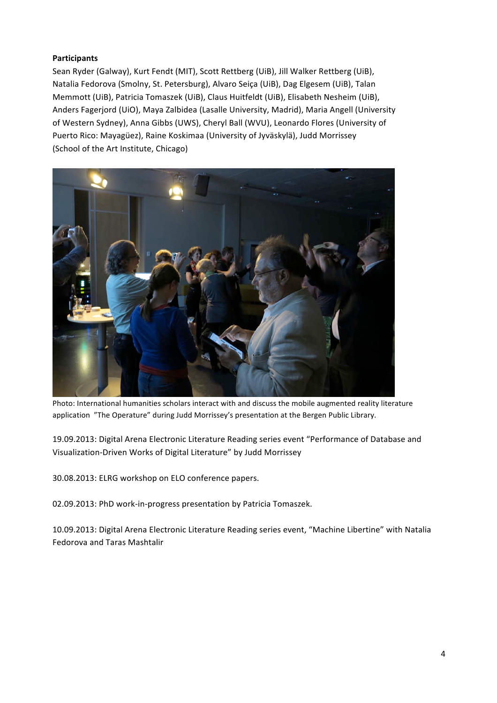## **Participants**

Sean Ryder (Galway), Kurt Fendt (MIT), Scott Rettberg (UiB), Jill Walker Rettberg (UiB), Natalia Fedorova (Smolny, St. Petersburg), Alvaro Seiça (UiB), Dag Elgesem (UiB), Talan Memmott (UiB), Patricia Tomaszek (UiB), Claus Huitfeldt (UiB), Elisabeth Nesheim (UiB), Anders Fagerjord (UiO), Maya Zalbidea (Lasalle University, Madrid), Maria Angell (University of Western Sydney), Anna Gibbs (UWS), Cheryl Ball (WVU), Leonardo Flores (University of Puerto Rico: Mayagüez), Raine Koskimaa (University of Jyväskylä), Judd Morrissey (School of the Art Institute, Chicago)



Photo: International humanities scholars interact with and discuss the mobile augmented reality literature application "The Operature" during Judd Morrissey's presentation at the Bergen Public Library.

19.09.2013: Digital Arena Electronic Literature Reading series event "Performance of Database and Visualization-Driven Works of Digital Literature" by Judd Morrissey

30.08.2013: ELRG workshop on ELO conference papers.

02.09.2013: PhD work-in-progress presentation by Patricia Tomaszek.

10.09.2013: Digital Arena Electronic Literature Reading series event, "Machine Libertine" with Natalia Fedorova and Taras Mashtalir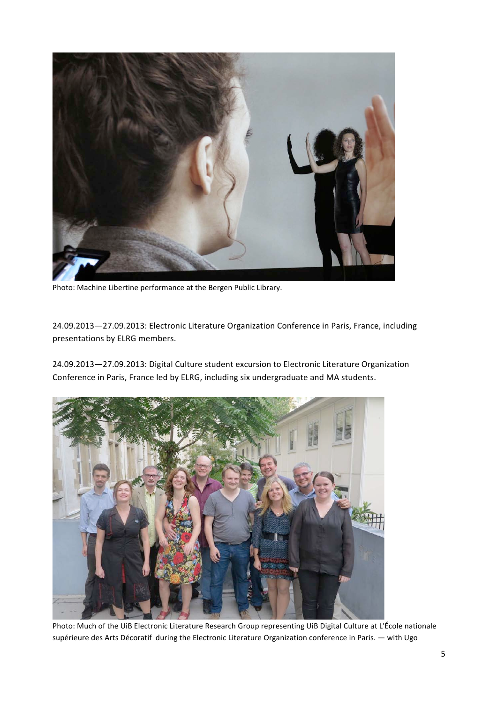

Photo: Machine Libertine performance at the Bergen Public Library.

24.09.2013-27.09.2013: Electronic Literature Organization Conference in Paris, France, including presentations by ELRG members.

24.09.2013-27.09.2013: Digital Culture student excursion to Electronic Literature Organization Conference in Paris, France led by ELRG, including six undergraduate and MA students.



Photo: Much of the UiB Electronic Literature Research Group representing UiB Digital Culture at L'École nationale supérieure des Arts Décoratif during the Electronic Literature Organization conference in Paris. — with Ugo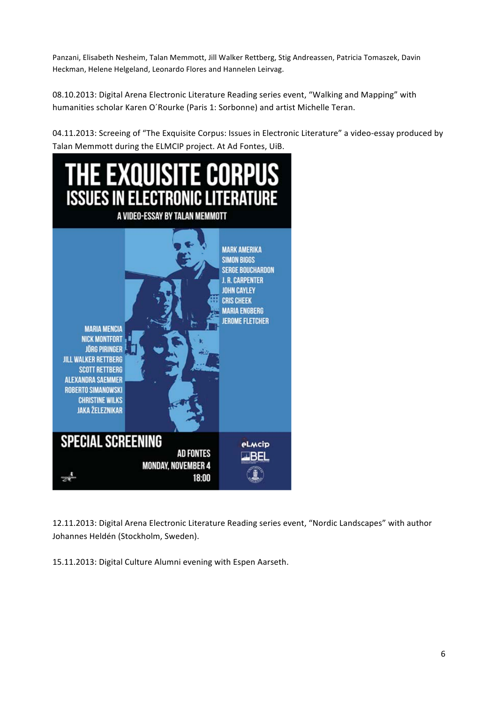Panzani, Elisabeth Nesheim, Talan Memmott, Jill Walker Rettberg, Stig Andreassen, Patricia Tomaszek, Davin Heckman, Helene Helgeland, Leonardo Flores and Hannelen Leirvag.

08.10.2013: Digital Arena Electronic Literature Reading series event, "Walking and Mapping" with humanities scholar Karen O'Rourke (Paris 1: Sorbonne) and artist Michelle Teran.

04.11.2013: Screeing of "The Exquisite Corpus: Issues in Electronic Literature" a video-essay produced by Talan Memmott during the ELMCIP project. At Ad Fontes, UiB.



12.11.2013: Digital Arena Electronic Literature Reading series event, "Nordic Landscapes" with author Johannes Heldén (Stockholm, Sweden).

15.11.2013: Digital Culture Alumni evening with Espen Aarseth.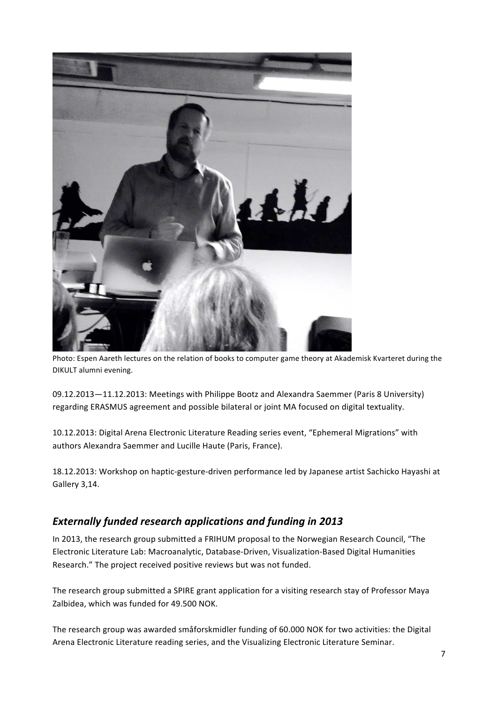

Photo: Espen Aareth lectures on the relation of books to computer game theory at Akademisk Kvarteret during the DIKULT alumni evening.

09.12.2013-11.12.2013: Meetings with Philippe Bootz and Alexandra Saemmer (Paris 8 University) regarding ERASMUS agreement and possible bilateral or joint MA focused on digital textuality.

10.12.2013: Digital Arena Electronic Literature Reading series event, "Ephemeral Migrations" with authors Alexandra Saemmer and Lucille Haute (Paris, France).

18.12.2013: Workshop on haptic-gesture-driven performance led by Japanese artist Sachicko Hayashi at Gallery 3,14.

## *Externally funded research applications and funding in 2013*

In 2013, the research group submitted a FRIHUM proposal to the Norwegian Research Council, "The Electronic Literature Lab: Macroanalytic, Database-Driven, Visualization-Based Digital Humanities Research." The project received positive reviews but was not funded.

The research group submitted a SPIRE grant application for a visiting research stay of Professor Maya Zalbidea, which was funded for 49.500 NOK.

The research group was awarded småforskmidler funding of 60.000 NOK for two activities: the Digital Arena Electronic Literature reading series, and the Visualizing Electronic Literature Seminar.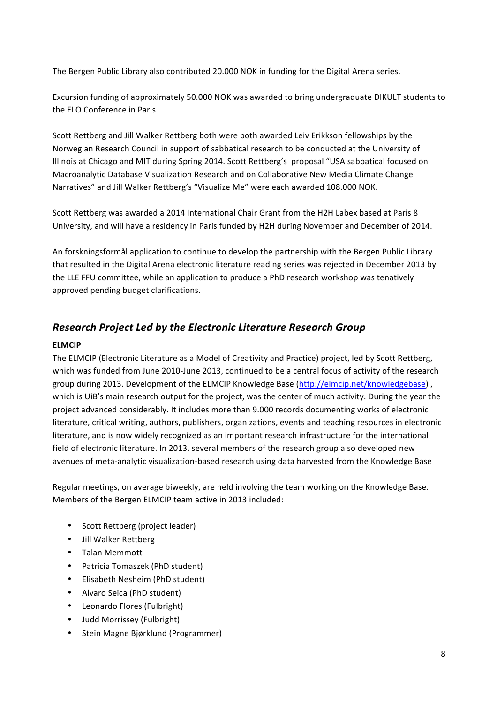The Bergen Public Library also contributed 20.000 NOK in funding for the Digital Arena series.

Excursion funding of approximately 50.000 NOK was awarded to bring undergraduate DIKULT students to the ELO Conference in Paris.

Scott Rettberg and Jill Walker Rettberg both were both awarded Leiv Erikkson fellowships by the Norwegian Research Council in support of sabbatical research to be conducted at the University of Illinois at Chicago and MIT during Spring 2014. Scott Rettberg's proposal "USA sabbatical focused on Macroanalytic Database Visualization Research and on Collaborative New Media Climate Change Narratives" and Jill Walker Rettberg's "Visualize Me" were each awarded 108.000 NOK.

Scott Rettberg was awarded a 2014 International Chair Grant from the H2H Labex based at Paris 8 University, and will have a residency in Paris funded by H2H during November and December of 2014.

An forskningsformål application to continue to develop the partnership with the Bergen Public Library that resulted in the Digital Arena electronic literature reading series was rejected in December 2013 by the LLE FFU committee, while an application to produce a PhD research workshop was tenatively approved pending budget clarifications.

## *Research Project Led by the Electronic Literature Research Group*

## **ELMCIP**

The ELMCIP (Electronic Literature as a Model of Creativity and Practice) project, led by Scott Rettberg, which was funded from June 2010-June 2013, continued to be a central focus of activity of the research group during 2013. Development of the ELMCIP Knowledge Base (http://elmcip.net/knowledgebase), which is UiB's main research output for the project, was the center of much activity. During the year the project advanced considerably. It includes more than 9.000 records documenting works of electronic literature, critical writing, authors, publishers, organizations, events and teaching resources in electronic literature, and is now widely recognized as an important research infrastructure for the international field of electronic literature. In 2013, several members of the research group also developed new avenues of meta-analytic visualization-based research using data harvested from the Knowledge Base

Regular meetings, on average biweekly, are held involving the team working on the Knowledge Base. Members of the Bergen ELMCIP team active in 2013 included:

- Scott Rettberg (project leader)
- Jill Walker Rettberg
- Talan Memmott
- Patricia Tomaszek (PhD student)
- Elisabeth Nesheim (PhD student)
- Alvaro Seica (PhD student)
- Leonardo Flores (Fulbright)
- Judd Morrissey (Fulbright)
- Stein Magne Bjørklund (Programmer)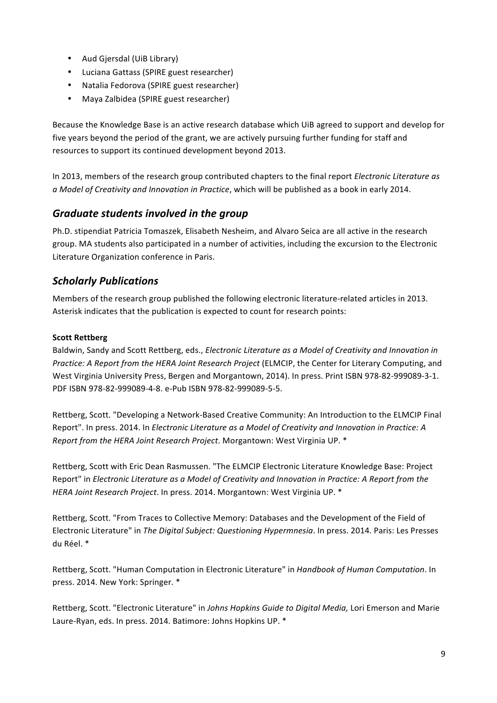- Aud Gjersdal (UiB Library)
- Luciana Gattass (SPIRE guest researcher)
- Natalia Fedorova (SPIRE guest researcher)
- Maya Zalbidea (SPIRE guest researcher)

Because the Knowledge Base is an active research database which UiB agreed to support and develop for five years beyond the period of the grant, we are actively pursuing further funding for staff and resources to support its continued development beyond 2013.

In 2013, members of the research group contributed chapters to the final report *Electronic Literature as* a Model of Creativity and Innovation in Practice, which will be published as a book in early 2014.

## *Graduate students involved in the group*

Ph.D. stipendiat Patricia Tomaszek, Elisabeth Nesheim, and Alvaro Seica are all active in the research group. MA students also participated in a number of activities, including the excursion to the Electronic Literature Organization conference in Paris.

## *Scholarly Publications*

Members of the research group published the following electronic literature-related articles in 2013. Asterisk indicates that the publication is expected to count for research points:

## **Scott Rettberg**

Baldwin, Sandy and Scott Rettberg, eds., *Electronic Literature as a Model of Creativity and Innovation in Practice:* A Report from the HERA Joint Research Project (ELMCIP, the Center for Literary Computing, and West Virginia University Press, Bergen and Morgantown, 2014). In press. Print ISBN 978-82-999089-3-1. PDF ISBN 978-82-999089-4-8. e-Pub ISBN 978-82-999089-5-5.

Rettberg, Scott. "Developing a Network-Based Creative Community: An Introduction to the ELMCIP Final Report". In press. 2014. In *Electronic Literature as a Model of Creativity and Innovation in Practice: A Report from the HERA Joint Research Project*. Morgantown: West Virginia UP. \*

Rettberg, Scott with Eric Dean Rasmussen. "The ELMCIP Electronic Literature Knowledge Base: Project Report" in *Electronic Literature as a Model of Creativity and Innovation in Practice: A Report from the* HERA Joint Research Project. In press. 2014. Morgantown: West Virginia UP. \*

Rettberg, Scott. "From Traces to Collective Memory: Databases and the Development of the Field of Electronic Literature" in *The Digital Subject: Questioning Hypermnesia*. In press. 2014. Paris: Les Presses du Réel. \*

Rettberg, Scott. "Human Computation in Electronic Literature" in *Handbook of Human Computation*. In press. 2014. New York: Springer. \*

Rettberg, Scott. "Electronic Literature" in *Johns Hopkins Guide to Digital Media,* Lori Emerson and Marie Laure-Ryan, eds. In press. 2014. Batimore: Johns Hopkins UP. \*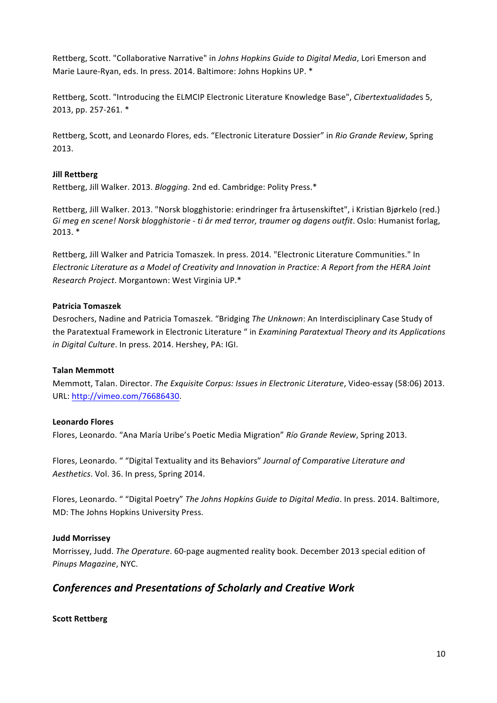Rettberg, Scott. "Collaborative Narrative" in *Johns Hopkins Guide to Digital Media*, Lori Emerson and Marie Laure-Ryan, eds. In press. 2014. Baltimore: Johns Hopkins UP. \*

Rettberg, Scott. "Introducing the ELMCIP Electronic Literature Knowledge Base", *Cibertextualidades* 5, 2013, pp. 257-261. \*

Rettberg, Scott, and Leonardo Flores, eds. "Electronic Literature Dossier" in *Rio Grande Review*, Spring 2013.

### **Jill Rettberg**

Rettberg, Jill Walker. 2013. *Blogging*. 2nd ed. Cambridge: Polity Press.\*

Rettberg, Jill Walker. 2013. "Norsk blogghistorie: erindringer fra årtusenskiftet", i Kristian Bjørkelo (red.) *Gi* meg en scene! Norsk blogghistorie - ti år med terror, traumer og dagens outfit. Oslo: Humanist forlag, 2013. \*

Rettberg, Jill Walker and Patricia Tomaszek. In press. 2014. "Electronic Literature Communities." In *Electronic Literature as a Model of Creativity and Innovation in Practice:* A Report from the HERA Joint *Research Project*. Morgantown: West Virginia UP.\*

#### **Patricia Tomaszek**

Desrochers, Nadine and Patricia Tomaszek. "Bridging *The Unknown*: An Interdisciplinary Case Study of the Paratextual Framework in Electronic Literature " in *Examining Paratextual Theory and its Applications in Digital Culture*. In press. 2014. Hershey, PA: IGI.

#### **Talan Memmott**

Memmott, Talan. Director. *The Exquisite Corpus: Issues in Electronic Literature*, Video-essay (58:06) 2013. URL: http://vimeo.com/76686430. 

### **Leonardo Flores**

Flores, Leonardo. "Ana María Uribe's Poetic Media Migration" *Río Grande Review*, Spring 2013.

Flores, Leonardo. " "Digital Textuality and its Behaviors" Journal of Comparative Literature and Aesthetics. Vol. 36. In press, Spring 2014.

Flores, Leonardo. " "Digital Poetry" *The Johns Hopkins Guide to Digital Media*. In press. 2014. Baltimore, MD: The Johns Hopkins University Press.

#### **Judd Morrissey**

Morrissey, Judd. The Operature. 60-page augmented reality book. December 2013 special edition of *Pinups Magazine*, NYC.

## *Conferences and Presentations of Scholarly and Creative Work*

#### **Scott Rettberg**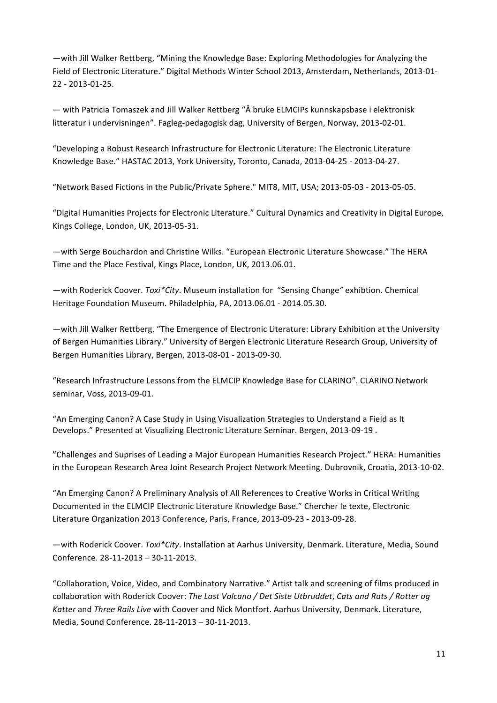—with Jill Walker Rettberg, "Mining the Knowledge Base: Exploring Methodologies for Analyzing the Field of Electronic Literature." Digital Methods Winter School 2013, Amsterdam, Netherlands, 2013-01-22 - 2013-01-25.

— with Patricia Tomaszek and Jill Walker Rettberg "Å bruke ELMCIPs kunnskapsbase i elektronisk litteratur i undervisningen". Fagleg-pedagogisk dag, University of Bergen, Norway, 2013-02-01.

"Developing a Robust Research Infrastructure for Electronic Literature: The Electronic Literature Knowledge Base." HASTAC 2013, York University, Toronto, Canada, 2013-04-25 - 2013-04-27.

"Network Based Fictions in the Public/Private Sphere." MIT8, MIT, USA; 2013-05-03 - 2013-05-05.

"Digital Humanities Projects for Electronic Literature." Cultural Dynamics and Creativity in Digital Europe, Kings College, London, UK, 2013-05-31.

—with Serge Bouchardon and Christine Wilks. "European Electronic Literature Showcase." The HERA Time and the Place Festival, Kings Place, London, UK, 2013.06.01.

—with Roderick Coover. *Toxi\*City*. Museum installation for "Sensing Change" exhibtion. Chemical Heritage Foundation Museum. Philadelphia, PA, 2013.06.01 - 2014.05.30.

- with Jill Walker Rettberg. "The Emergence of Electronic Literature: Library Exhibition at the University of Bergen Humanities Library." University of Bergen Electronic Literature Research Group, University of Bergen Humanities Library, Bergen, 2013-08-01 - 2013-09-30.

"Research Infrastructure Lessons from the ELMCIP Knowledge Base for CLARINO". CLARINO Network seminar, Voss, 2013-09-01.

"An Emerging Canon? A Case Study in Using Visualization Strategies to Understand a Field as It Develops." Presented at Visualizing Electronic Literature Seminar. Bergen, 2013-09-19.

"Challenges and Suprises of Leading a Major European Humanities Research Project." HERA: Humanities in the European Research Area Joint Research Project Network Meeting. Dubrovnik, Croatia, 2013-10-02.

"An Emerging Canon? A Preliminary Analysis of All References to Creative Works in Critical Writing Documented in the ELMCIP Electronic Literature Knowledge Base." Chercher le texte, Electronic Literature Organization 2013 Conference, Paris, France, 2013-09-23 - 2013-09-28.

-with Roderick Coover. *Toxi\*City*. Installation at Aarhus University, Denmark. Literature, Media, Sound Conference. 28-11-2013 - 30-11-2013.

"Collaboration, Voice, Video, and Combinatory Narrative." Artist talk and screening of films produced in collaboration with Roderick Coover: The Last Volcano / Det Siste Utbruddet, Cats and Rats / Rotter og Katter and *Three Rails Live* with Coover and Nick Montfort. Aarhus University, Denmark. Literature, Media, Sound Conference. 28-11-2013 - 30-11-2013.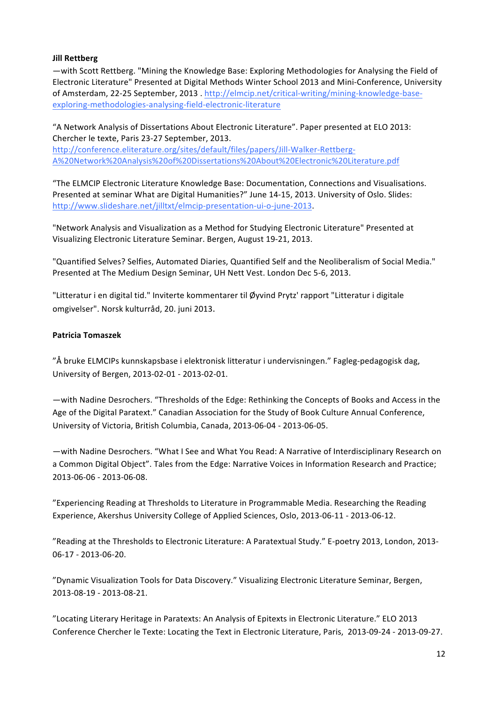## **Jill Rettberg**

—with Scott Rettberg. "Mining the Knowledge Base: Exploring Methodologies for Analysing the Field of Electronic Literature" Presented at Digital Methods Winter School 2013 and Mini-Conference, University of Amsterdam, 22-25 September, 2013 . http://elmcip.net/critical-writing/mining-knowledge-baseexploring-methodologies-analysing-field-electronic-literature

"A Network Analysis of Dissertations About Electronic Literature". Paper presented at ELO 2013: Chercher le texte, Paris 23-27 September, 2013. http://conference.eliterature.org/sites/default/files/papers/Jill-Walker-Rettberg-A%20Network%20Analysis%20of%20Dissertations%20About%20Electronic%20Literature.pdf

"The ELMCIP Electronic Literature Knowledge Base: Documentation, Connections and Visualisations. Presented at seminar What are Digital Humanities?" June 14-15, 2013. University of Oslo. Slides: http://www.slideshare.net/jilltxt/elmcip-presentation-ui-o-june-2013. 

"Network Analysis and Visualization as a Method for Studying Electronic Literature" Presented at Visualizing Electronic Literature Seminar. Bergen, August 19-21, 2013.

"Quantified Selves? Selfies, Automated Diaries, Quantified Self and the Neoliberalism of Social Media." Presented at The Medium Design Seminar, UH Nett Vest. London Dec 5-6, 2013.

"Litteratur i en digital tid." Inviterte kommentarer til Øyvind Prytz' rapport "Litteratur i digitale omgivelser". Norsk kulturråd, 20. juni 2013.

### **Patricia Tomaszek**

"Å bruke ELMCIPs kunnskapsbase i elektronisk litteratur i undervisningen." Fagleg-pedagogisk dag, University of Bergen, 2013-02-01 - 2013-02-01.

-with Nadine Desrochers. "Thresholds of the Edge: Rethinking the Concepts of Books and Access in the Age of the Digital Paratext." Canadian Association for the Study of Book Culture Annual Conference, University of Victoria, British Columbia, Canada, 2013-06-04 - 2013-06-05.

- with Nadine Desrochers. "What I See and What You Read: A Narrative of Interdisciplinary Research on a Common Digital Object". Tales from the Edge: Narrative Voices in Information Research and Practice; 2013-06-06 - 2013-06-08.

"Experiencing Reading at Thresholds to Literature in Programmable Media. Researching the Reading Experience, Akershus University College of Applied Sciences, Oslo, 2013-06-11 - 2013-06-12.

"Reading at the Thresholds to Electronic Literature: A Paratextual Study." E-poetry 2013, London, 2013-06-17 - 2013-06-20.

"Dynamic Visualization Tools for Data Discovery." Visualizing Electronic Literature Seminar, Bergen, 2013-08-19 - 2013-08-21.

"Locating Literary Heritage in Paratexts: An Analysis of Epitexts in Electronic Literature." ELO 2013 Conference Chercher le Texte: Locating the Text in Electronic Literature, Paris, 2013-09-24 - 2013-09-27.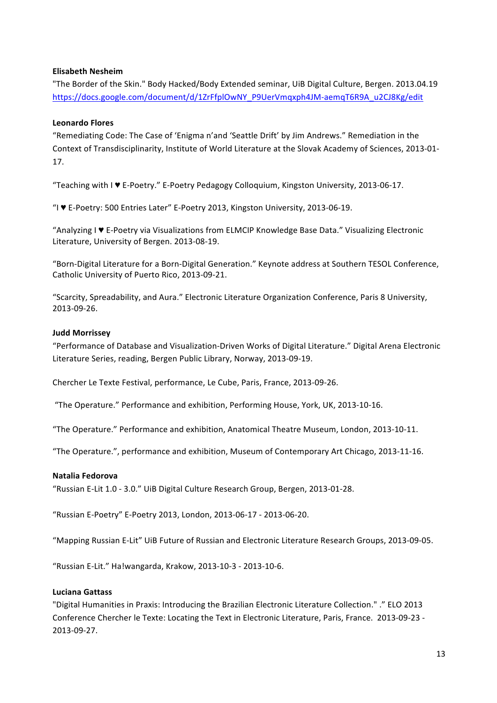## **Elisabeth Nesheim**

"The Border of the Skin." Body Hacked/Body Extended seminar, UiB Digital Culture, Bergen. 2013.04.19 https://docs.google.com/document/d/1ZrFfplOwNY\_P9UerVmqxph4JM-aemqT6R9A\_u2CJ8Kg/edit

## **Leonardo Flores**

"Remediating Code: The Case of 'Enigma n'and 'Seattle Drift' by Jim Andrews." Remediation in the Context of Transdisciplinarity, Institute of World Literature at the Slovak Academy of Sciences, 2013-01-17.

"Teaching with I ♥ E-Poetry." E-Poetry Pedagogy Colloquium, Kingston University, 2013-06-17.

"I ♥ E-Poetry: 500 Entries Later" E-Poetry 2013, Kingston University, 2013-06-19. 

"Analyzing I ♥ E-Poetry via Visualizations from ELMCIP Knowledge Base Data." Visualizing Electronic Literature, University of Bergen. 2013-08-19.

"Born-Digital Literature for a Born-Digital Generation." Keynote address at Southern TESOL Conference, Catholic University of Puerto Rico, 2013-09-21.

"Scarcity, Spreadability, and Aura." Electronic Literature Organization Conference, Paris 8 University, 2013-09-26.

### **Judd Morrissey**

"Performance of Database and Visualization-Driven Works of Digital Literature." Digital Arena Electronic Literature Series, reading, Bergen Public Library, Norway, 2013-09-19.

Chercher Le Texte Festival, performance, Le Cube, Paris, France, 2013-09-26.

"The Operature." Performance and exhibition, Performing House, York, UK, 2013-10-16.

"The Operature." Performance and exhibition, Anatomical Theatre Museum, London, 2013-10-11.

"The Operature.", performance and exhibition, Museum of Contemporary Art Chicago, 2013-11-16.

### **Natalia Fedorova**

"Russian E-Lit 1.0 - 3.0." UiB Digital Culture Research Group, Bergen, 2013-01-28.

"Russian E-Poetry" E-Poetry 2013, London, 2013-06-17 - 2013-06-20.

"Mapping Russian E-Lit" UiB Future of Russian and Electronic Literature Research Groups, 2013-09-05.

"Russian E-Lit." Ha!wangarda, Krakow, 2013-10-3 - 2013-10-6.

### **Luciana Gattass**

"Digital Humanities in Praxis: Introducing the Brazilian Electronic Literature Collection." ." ELO 2013 Conference Chercher le Texte: Locating the Text in Electronic Literature, Paris, France. 2013-09-23 -2013-09-27.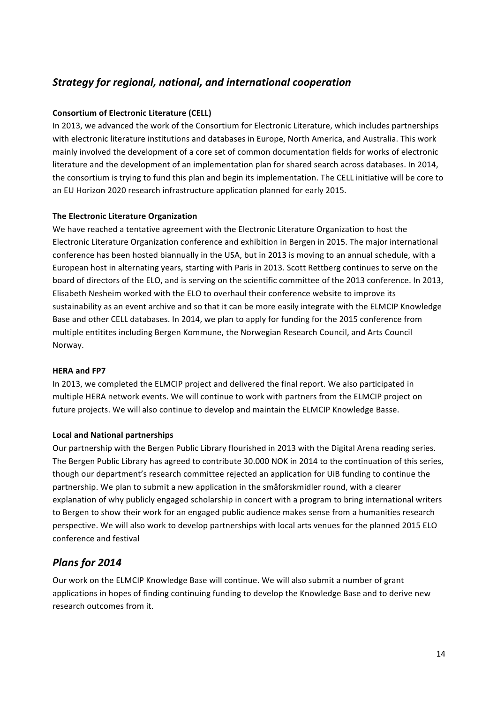## *Strategy for regional, national, and international cooperation*

## **Consortium of Electronic Literature (CELL)**

In 2013, we advanced the work of the Consortium for Electronic Literature, which includes partnerships with electronic literature institutions and databases in Europe, North America, and Australia. This work mainly involved the development of a core set of common documentation fields for works of electronic literature and the development of an implementation plan for shared search across databases. In 2014, the consortium is trying to fund this plan and begin its implementation. The CELL initiative will be core to an EU Horizon 2020 research infrastructure application planned for early 2015.

## **The Electronic Literature Organization**

We have reached a tentative agreement with the Electronic Literature Organization to host the Electronic Literature Organization conference and exhibition in Bergen in 2015. The major international conference has been hosted biannually in the USA, but in 2013 is moving to an annual schedule, with a European host in alternating years, starting with Paris in 2013. Scott Rettberg continues to serve on the board of directors of the ELO, and is serving on the scientific committee of the 2013 conference. In 2013, Elisabeth Nesheim worked with the ELO to overhaul their conference website to improve its sustainability as an event archive and so that it can be more easily integrate with the ELMCIP Knowledge Base and other CELL databases. In 2014, we plan to apply for funding for the 2015 conference from multiple entitites including Bergen Kommune, the Norwegian Research Council, and Arts Council Norway.

## **HERA** and **FP7**

In 2013, we completed the ELMCIP project and delivered the final report. We also participated in multiple HERA network events. We will continue to work with partners from the ELMCIP project on future projects. We will also continue to develop and maintain the ELMCIP Knowledge Basse.

## **Local and National partnerships**

Our partnership with the Bergen Public Library flourished in 2013 with the Digital Arena reading series. The Bergen Public Library has agreed to contribute 30.000 NOK in 2014 to the continuation of this series, though our department's research committee rejected an application for UiB funding to continue the partnership. We plan to submit a new application in the småforskmidler round, with a clearer explanation of why publicly engaged scholarship in concert with a program to bring international writers to Bergen to show their work for an engaged public audience makes sense from a humanities research perspective. We will also work to develop partnerships with local arts venues for the planned 2015 ELO conference and festival

## *Plans for 2014*

Our work on the ELMCIP Knowledge Base will continue. We will also submit a number of grant applications in hopes of finding continuing funding to develop the Knowledge Base and to derive new research outcomes from it.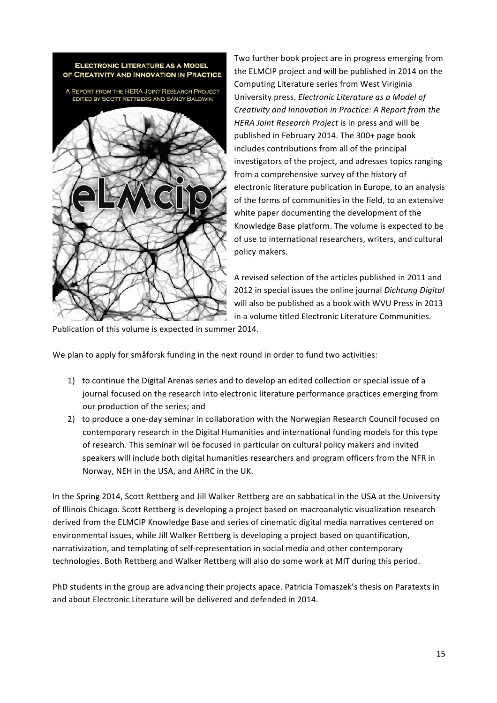

Two further book project are in progress emerging from the ELMCIP project and will be published in 2014 on the Computing Literature series from West Viriginia University press. *Electronic Literature as a Model of Creativity and Innovation in Practice:* A Report from the *HERA Joint Research Project* is in press and will be published in February 2014. The 300+ page book includes contributions from all of the principal investigators of the project, and adresses topics ranging from a comprehensive survey of the history of electronic literature publication in Europe, to an analysis of the forms of communities in the field, to an extensive white paper documenting the development of the Knowledge Base platform. The volume is expected to be of use to international researchers, writers, and cultural policy makers.

A revised selection of the articles published in 2011 and 2012 in special issues the online journal *Dichtung Digital* will also be published as a book with WVU Press in 2013 in a volume titled Electronic Literature Communities.

Publication of this volume is expected in summer 2014.

We plan to apply for småforsk funding in the next round in order to fund two activities:

- 1) to continue the Digital Arenas series and to develop an edited collection or special issue of a iournal focused on the research into electronic literature performance practices emerging from our production of the series; and
- 2) to produce a one-day seminar in collaboration with the Norwegian Research Council focused on contemporary research in the Digital Humanities and international funding models for this type of research. This seminar wil be focused in particular on cultural policy makers and invited speakers will include both digital humanities researchers and program officers from the NFR in Norway, NEH in the USA, and AHRC in the UK.

In the Spring 2014, Scott Rettberg and Jill Walker Rettberg are on sabbatical in the USA at the University of Illinois Chicago. Scott Rettberg is developing a project based on macroanalytic visualization research derived from the ELMCIP Knowledge Base and series of cinematic digital media narratives centered on environmental issues, while Jill Walker Rettberg is developing a project based on quantification, narrativization, and templating of self-representation in social media and other contemporary technologies. Both Rettberg and Walker Rettberg will also do some work at MIT during this period.

PhD students in the group are advancing their projects apace. Patricia Tomaszek's thesis on Paratexts in and about Electronic Literature will be delivered and defended in 2014.